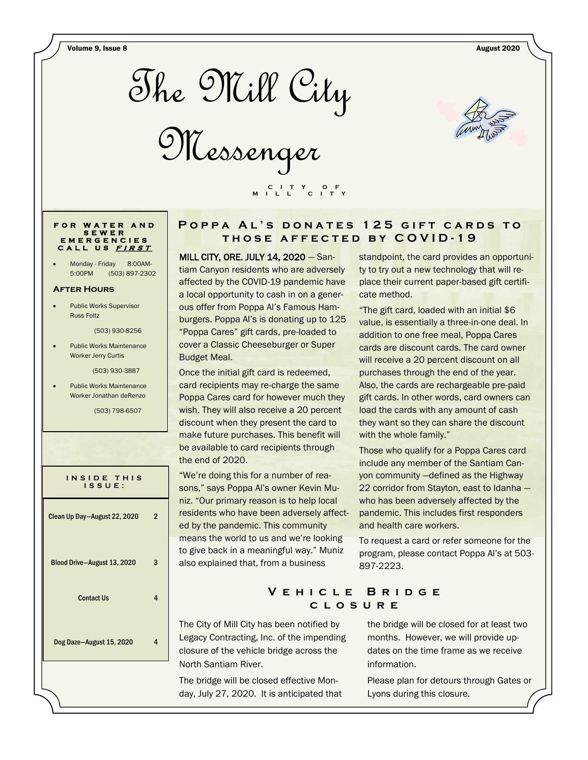

Messenger



### **F O R W A T E R A N D S E W E R E M E R G E N C I E S C A L L U S <sup>F</sup> <sup>I</sup> <sup>R</sup> <sup>S</sup> <sup>T</sup>**

Monday - Friday 8:00AM-5:00PM (503) 897-2302

#### **After Hours**

 Public Works Supervisor Russ Foltz

(503) 930-8256

 Public Works Maintenance Worker Jerry Curtis

(503) 930-3887

 Public Works Maintenance Worker Jonathan deRenzo

(503) 798-6507

| INSIDE THIS<br>ISSUE:        |   |
|------------------------------|---|
| Clean Up Day-August 22, 2020 | 2 |
| Blood Drive-August 13, 2020  | 3 |
| <b>Contact Us</b>            | 4 |
| Dog Daze-August 15, 2020     | 4 |
|                              |   |

## **POPPA AL'S DONATES 125 GIFT CARDS TO t h o s e a f f e c t e d b y C O V I D - 1 9**

MILL CITY, ORE. JULY 14, 2020 — Santiam Canyon residents who are adversely affected by the COVID-19 pandemic have a local opportunity to cash in on a generous offer from Poppa Al's Famous Hamburgers. Poppa Al's is donating up to 125 "Poppa Cares" gift cards, pre-loaded to cover a Classic Cheeseburger or Super Budget Meal.

 **C I T Y O F M I L L C I T Y**

Once the initial gift card is redeemed, card recipients may re-charge the same Poppa Cares card for however much they wish. They will also receive a 20 percent discount when they present the card to make future purchases. This benefit will be available to card recipients through the end of 2020.

"We're doing this for a number of reasons," says Poppa Al's owner Kevin Muniz. "Our primary reason is to help local residents who have been adversely affected by the pandemic. This community means the world to us and we're looking to give back in a meaningful way." Muniz also explained that, from a business

standpoint, the card provides an opportunity to try out a new technology that will replace their current paper-based gift certificate method.

"The gift card, loaded with an initial \$6 value, is essentially a three-in-one deal. In addition to one free meal, Poppa Cares cards are discount cards. The card owner will receive a 20 percent discount on all purchases through the end of the year. Also, the cards are rechargeable pre-paid gift cards. In other words, card owners can load the cards with any amount of cash they want so they can share the discount with the whole family."

Those who qualify for a Poppa Cares card include any member of the Santiam Canyon community —defined as the Highway 22 corridor from Stayton, east to Idanha who has been adversely affected by the pandemic. This includes first responders and health care workers.

To request a card or refer someone for the program, please contact Poppa Al's at 503- 897-2223.

## **V e h i c l e B r i d g e c l o s u r e**

The City of Mill City has been notified by Legacy Contracting, Inc. of the impending closure of the vehicle bridge across the North Santiam River.

The bridge will be closed effective Monday, July 27, 2020. It is anticipated that the bridge will be closed for at least two months. However, we will provide updates on the time frame as we receive information.

Please plan for detours through Gates or Lyons during this closure.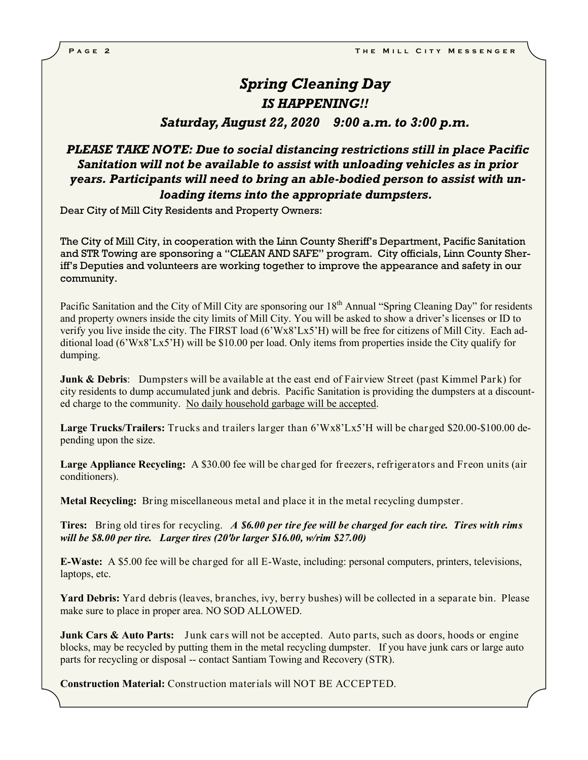## *Spring Cleaning Day IS HAPPENING!!*

*Saturday, August 22, 2020 9:00 a.m. to 3:00 p.m.*

## *PLEASE TAKE NOTE: Due to social distancing restrictions still in place Pacific Sanitation will not be available to assist with unloading vehicles as in prior years. Participants will need to bring an able-bodied person to assist with unloading items into the appropriate dumpsters.*

Dear City of Mill City Residents and Property Owners:

The City of Mill City, in cooperation with the Linn County Sheriff's Department, Pacific Sanitation and STR Towing are sponsoring a "CLEAN AND SAFE" program. City officials, Linn County Sheriff's Deputies and volunteers are working together to improve the appearance and safety in our community.

Pacific Sanitation and the City of Mill City are sponsoring our 18<sup>th</sup> Annual "Spring Cleaning Day" for residents and property owners inside the city limits of Mill City. You will be asked to show a driver's licenses or ID to verify you live inside the city. The FIRST load (6'Wx8'Lx5'H) will be free for citizens of Mill City. Each additional load (6'Wx8'Lx5'H) will be \$10.00 per load. Only items from properties inside the City qualify for dumping.

**Junk & Debris**: Dumpsters will be available at the east end of Fairview Street (past Kimmel Park) for city residents to dump accumulated junk and debris. Pacific Sanitation is providing the dumpsters at a discounted charge to the community. No daily household garbage will be accepted.

**Large Trucks/Trailers:** Trucks and trailers larger than 6'Wx8'Lx5'H will be charged \$20.00-\$100.00 depending upon the size.

**Large Appliance Recycling:** A \$30.00 fee will be charged for freezers, refrigerators and Freon units (air conditioners).

**Metal Recycling:** Bring miscellaneous metal and place it in the metal recycling dumpster.

**Tires:** Bring old tires for recycling. *A \$6.00 per tire fee will be charged for each tire. Tires with rims will be \$8.00 per tire. Larger tires (20'br larger \$16.00, w/rim \$27.00)* 

**E-Waste:** A \$5.00 fee will be charged for all E-Waste, including: personal computers, printers, televisions, laptops, etc.

**Yard Debris:** Yard debris (leaves, branches, ivy, berry bushes) will be collected in a separate bin. Please make sure to place in proper area. NO SOD ALLOWED.

**Junk Cars & Auto Parts:** Junk cars will not be accepted. Auto parts, such as doors, hoods or engine blocks, may be recycled by putting them in the metal recycling dumpster. If you have junk cars or large auto parts for recycling or disposal -- contact Santiam Towing and Recovery (STR).

**Construction Material:** Construction materials will NOT BE ACCEPTED.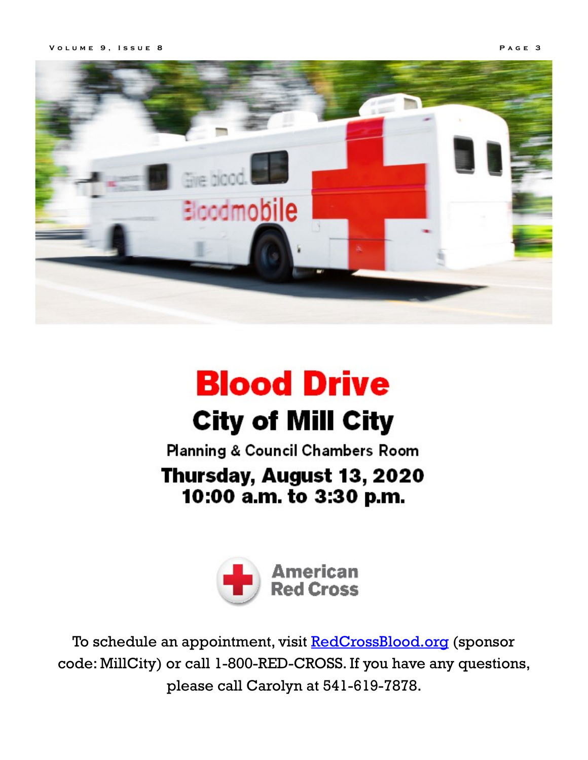

# **Blood Drive City of Mill City**

**Planning & Council Chambers Room** 

## Thursday, August 13, 2020 10:00 a.m. to 3:30 p.m.



To schedule an appointment, visit [RedCrossBlood.org](https://l.facebook.com/l.php?u=http%3A%2F%2FRedCrossBlood.org%2F%3Ffbclid%3DIwAR362GQ8lx-iKcIpGLC3q-HM9FUIMq4ofBS2MV6VGcYxzo4RWz3OmRB7_cA&h=AT2lYCdsCQvnftipNbaqM1i09Ilv4MSfjJ6c1VseKTxFi0wnUzK_ty_6QTkcMntW4I9EJBBmPrgD_O15E7GeuGA5GItoykVIMOSxqajI6xEGqH6sw_a8rrp) (sponsor code: MillCity) or call 1-800-RED-CROSS. If you have any questions, please call Carolyn at 541-619-7878.